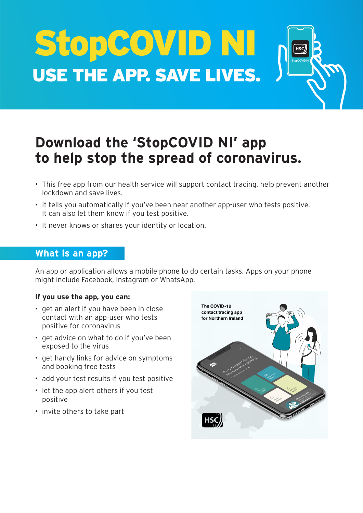StopCOVID NI USE THE APP. SAVE LIVES.



## **Download the 'StopCOVID NI' app to help stop the spread of coronavirus.**

- This free app from our health service will support contact tracing, help prevent another lockdown and save lives.
- It tells you automatically if you've been near another app-user who tests positive. It can also let them know if you test positive.
- It never knows or shares your identity or location.

## **What is an app?**

An app or application allows a mobile phone to do certain tasks. Apps on your phone might include Facebook, Instagram or WhatsApp.

#### **If you use the app, you can:**

- get an alert if you have been in close contact with an app-user who tests positive for coronavirus
- get advice on what to do if you've been exposed to the virus
- get handy links for advice on symptoms and booking free tests
- add your test results if you test positive
- let the app alert others if you test positive
- invite others to take part

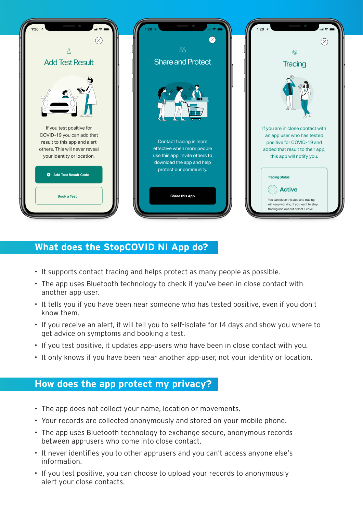

## **What does the StopCOVID NI App do?**

- It supports contact tracing and helps protect as many people as possible.
- The app uses Bluetooth technology to check if you've been in close contact with another app-user.
- It tells you if you have been near someone who has tested positive, even if you don't know them.
- If you receive an alert, it will tell you to self-isolate for 14 days and show you where to get advice on symptoms and booking a test.
- If you test positive, it updates app-users who have been in close contact with you.
- It only knows if you have been near another app-user, not your identity or location.

## **How does the app protect my privacy?**

- The app does not collect your name, location or movements.
- Your records are collected anonymously and stored on your mobile phone.
- The app uses Bluetooth technology to exchange secure, anonymous records between app-users who come into close contact.
- It never identifies you to other app-users and you can't access anyone else's information.
- If you test positive, you can choose to upload your records to anonymously alert your close contacts.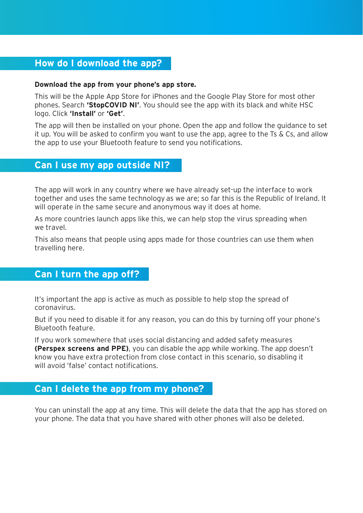## **How do I download the app?**

#### **Download the app from your phone's app store.**

This will be the Apple App Store for iPhones and the Google Play Store for most other phones. Search **'StopCOVID NI'**. You should see the app with its black and white HSC logo. Click **'Install'** or **'Get'**.

The app will then be installed on your phone. Open the app and follow the guidance to set it up. You will be asked to confirm you want to use the app, agree to the Ts & Cs, and allow the app to use your Bluetooth feature to send you notifications.

### **Can I use my app outside NI?**

The app will work in any country where we have already set-up the interface to work together and uses the same technology as we are; so far this is the Republic of Ireland. It will operate in the same secure and anonymous way it does at home.

As more countries launch apps like this, we can help stop the virus spreading when we travel.

This also means that people using apps made for those countries can use them when travelling here.

## **Can I turn the app off?**

It's important the app is active as much as possible to help stop the spread of coronavirus.

But if you need to disable it for any reason, you can do this by turning off your phone's Bluetooth feature.

If you work somewhere that uses social distancing and added safety measures **(Perspex screens and PPE)**, you can disable the app while working. The app doesn't know you have extra protection from close contact in this scenario, so disabling it will avoid 'false' contact notifications.

### **Can I delete the app from my phone?**

You can uninstall the app at any time. This will delete the data that the app has stored on your phone. The data that you have shared with other phones will also be deleted.